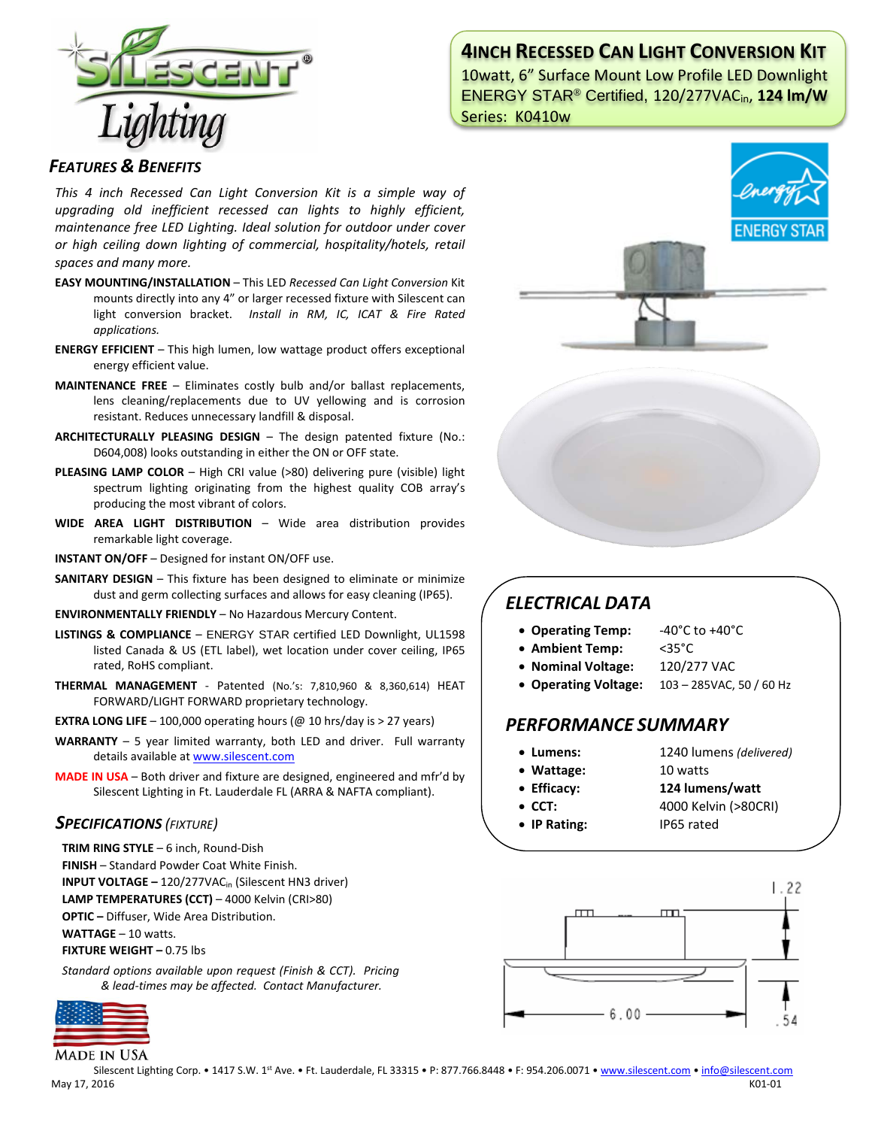

# **4INCH RECESSED CAN LIGHT CONVERSION KIT**

10watt, 6" Surface Mount Low Profile LED Downlight ENERGY STAR® Certified, 120/277VACin, **124 lm/W** Series: K0410w

### *FEATURES & BENEFITS*

*This 4 inch Recessed Can Light Conversion Kit is a simple way of upgrading old inefficient recessed can lights to highly efficient, maintenance free LED Lighting. Ideal solution for outdoor under cover or high ceiling down lighting of commercial, hospitality/hotels, retail spaces and many more.*

- **EASY MOUNTING/INSTALLATION**  This LED *Recessed Can Light Conversion* Kit mounts directly into any 4" or larger recessed fixture with Silescent can light conversion bracket. *Install in RM, IC, ICAT & Fire Rated applications.*
- **ENERGY EFFICIENT**  This high lumen, low wattage product offers exceptional energy efficient value.
- **MAINTENANCE FREE** Eliminates costly bulb and/or ballast replacements, lens cleaning/replacements due to UV yellowing and is corrosion resistant. Reduces unnecessary landfill & disposal.
- **ARCHITECTURALLY PLEASING DESIGN** The design patented fixture (No.: D604,008) looks outstanding in either the ON or OFF state.
- **PLEASING LAMP COLOR**  High CRI value (>80) delivering pure (visible) light spectrum lighting originating from the highest quality COB array's producing the most vibrant of colors.
- **WIDE AREA LIGHT DISTRIBUTION**  Wide area distribution provides remarkable light coverage.
- **INSTANT ON/OFF**  Designed for instant ON/OFF use.
- **SANITARY DESIGN** This fixture has been designed to eliminate or minimize dust and germ collecting surfaces and allows for easy cleaning (IP65).
- **ENVIRONMENTALLY FRIENDLY**  No Hazardous Mercury Content.
- **LISTINGS & COMPLIANCE** ENERGY STAR certified LED Downlight, UL1598 listed Canada & US (ETL label), wet location under cover ceiling, IP65 rated, RoHS compliant.
- **THERMAL MANAGEMENT**  Patented (No.'s: 7,810,960 & 8,360,614) HEAT FORWARD/LIGHT FORWARD proprietary technology.
- **EXTRA LONG LIFE**  $-$  100,000 operating hours ( $@$  10 hrs/day is  $>$  27 years)
- **WARRANTY** 5 year limited warranty, both LED and driver. Full warranty details available a[t www.silescent.com](http://www.silescent.com/)
- **MADE IN USA** Both driver and fixture are designed, engineered and mfr'd by Silescent Lighting in Ft. Lauderdale FL (ARRA & NAFTA compliant).

### *SPECIFICATIONS (FIXTURE)*

- **TRIM RING STYLE** 6 inch, Round-Dish
- **FINISH** Standard Powder Coat White Finish.
- **INPUT VOLTAGE –** 120/277VACin (Silescent HN3 driver)

**LAMP TEMPERATURES (CCT)** – 4000 Kelvin (CRI>80)

**OPTIC –** Diffuser, Wide Area Distribution.

**WATTAGE** – 10 watts.

**FIXTURE WEIGHT –** 0.75 lbs

*Standard options available upon request (Finish & CCT). Pricing & lead-times may be affected. Contact Manufacturer.*



**MADE IN USA** 



# *ELECTRICAL DATA*

- **Operating Temp:** -40°C to +40°C
- **Ambient Temp:** <35°C
- **Nominal Voltage:** 120/277 VAC
- **Operating Voltage:** 103 285VAC, 50 / 60 Hz

## *PERFORMANCE SUMMARY*

- **Lumens:** 1240 lumens *(delivered)*
- **Wattage:** 10 watts
- 
- **Efficacy: 124 lumens/watt**
- **CCT:** 4000 Kelvin (>80CRI)
- **IP Rating:** IP65 rated
- $1.22$  $\overline{m}$ mm  $6.00$

Silescent Lighting Corp. • 1417 S.W. 1st Ave. • Ft. Lauderdale, FL 33315 • P: 877.766.8448 • F: 954.206.0071 • [www.silescent.com](http://www.silescent.com/) • [info@silescent.com](mailto:info@silescent.com) May 17, 2016 K01-01